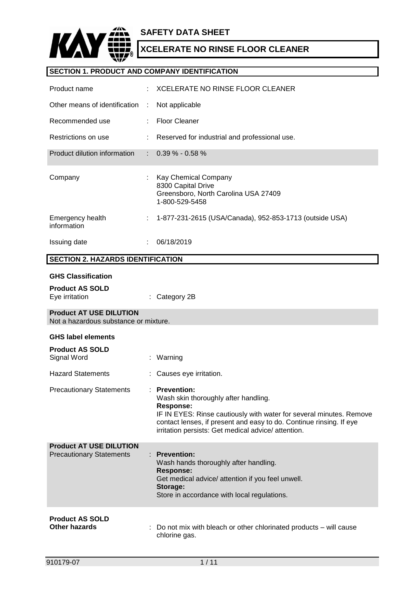

## **SECTION 1. PRODUCT AND COMPANY IDENTIFICATION**

| Product name                                                            |    | <b>XCELERATE NO RINSE FLOOR CLEANER</b>                                                                                                                                                                                                                                        |
|-------------------------------------------------------------------------|----|--------------------------------------------------------------------------------------------------------------------------------------------------------------------------------------------------------------------------------------------------------------------------------|
| Other means of identification                                           | ÷  | Not applicable                                                                                                                                                                                                                                                                 |
| Recommended use                                                         |    | <b>Floor Cleaner</b>                                                                                                                                                                                                                                                           |
| Restrictions on use                                                     |    | Reserved for industrial and professional use.                                                                                                                                                                                                                                  |
| Product dilution information                                            | ÷  | $0.39\% - 0.58\%$                                                                                                                                                                                                                                                              |
| Company                                                                 |    | Kay Chemical Company<br>8300 Capital Drive<br>Greensboro, North Carolina USA 27409<br>1-800-529-5458                                                                                                                                                                           |
| Emergency health<br>information                                         | t. | 1-877-231-2615 (USA/Canada), 952-853-1713 (outside USA)                                                                                                                                                                                                                        |
| Issuing date                                                            |    | 06/18/2019                                                                                                                                                                                                                                                                     |
| <b>SECTION 2. HAZARDS IDENTIFICATION</b>                                |    |                                                                                                                                                                                                                                                                                |
| <b>GHS Classification</b><br><b>Product AS SOLD</b><br>Eye irritation   |    | Category 2B                                                                                                                                                                                                                                                                    |
| <b>Product AT USE DILUTION</b><br>Not a hazardous substance or mixture. |    |                                                                                                                                                                                                                                                                                |
| <b>GHS label elements</b>                                               |    |                                                                                                                                                                                                                                                                                |
| <b>Product AS SOLD</b><br>Signal Word                                   |    | Warning                                                                                                                                                                                                                                                                        |
| <b>Hazard Statements</b>                                                |    | Causes eye irritation.                                                                                                                                                                                                                                                         |
| <b>Precautionary Statements</b>                                         |    | : Prevention:<br>Wash skin thoroughly after handling.<br><b>Response:</b><br>IF IN EYES: Rinse cautiously with water for several minutes. Remove<br>contact lenses, if present and easy to do. Continue rinsing. If eye<br>irritation persists: Get medical advice/ attention. |
| <b>Product AT USE DILUTION</b><br><b>Precautionary Statements</b>       |    | <b>Prevention:</b><br>Wash hands thoroughly after handling.<br><b>Response:</b><br>Get medical advice/ attention if you feel unwell.<br>Storage:<br>Store in accordance with local regulations.                                                                                |
| <b>Product AS SOLD</b><br><b>Other hazards</b>                          |    | Do not mix with bleach or other chlorinated products – will cause<br>chlorine gas.                                                                                                                                                                                             |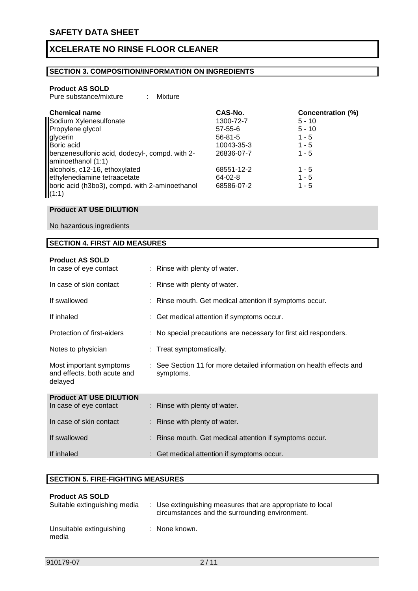### **SECTION 3. COMPOSITION/INFORMATION ON INGREDIENTS**

#### **Product AS SOLD**

| Pure substance/mixture |  | Mixture |
|------------------------|--|---------|
|------------------------|--|---------|

| <b>Chemical name</b>                                                 | CAS-No.       | <b>Concentration (%)</b> |
|----------------------------------------------------------------------|---------------|--------------------------|
| Sodium Xylenesulfonate                                               | 1300-72-7     | $5 - 10$                 |
| Propylene glycol                                                     | $57 - 55 - 6$ | $5 - 10$                 |
| glycerin                                                             | $56 - 81 - 5$ | $1 - 5$                  |
| Boric acid                                                           | 10043-35-3    | $1 - 5$                  |
| benzenesulfonic acid, dodecyl-, compd. with 2-<br>aminoethanol (1:1) | 26836-07-7    | $1 - 5$                  |
| alcohols, c12-16, ethoxylated                                        | 68551-12-2    | $1 - 5$                  |
| ethylenediamine tetraacetate                                         | 64-02-8       | $1 - 5$                  |
| boric acid (h3bo3), compd. with 2-aminoethanol<br>(1:1)              | 68586-07-2    | $1 - 5$                  |

#### **Product AT USE DILUTION**

No hazardous ingredients

### **SECTION 4. FIRST AID MEASURES**

| <b>Product AS SOLD</b><br>In case of eye contact                  | : Rinse with plenty of water.                                                     |
|-------------------------------------------------------------------|-----------------------------------------------------------------------------------|
| In case of skin contact                                           | : Rinse with plenty of water.                                                     |
| If swallowed                                                      | : Rinse mouth. Get medical attention if symptoms occur.                           |
| If inhaled                                                        | : Get medical attention if symptoms occur.                                        |
| Protection of first-aiders                                        | : No special precautions are necessary for first aid responders.                  |
| Notes to physician                                                | : Treat symptomatically.                                                          |
| Most important symptoms<br>and effects, both acute and<br>delayed | : See Section 11 for more detailed information on health effects and<br>symptoms. |
| <b>Product AT USE DILUTION</b><br>In case of eye contact          | : Rinse with plenty of water.                                                     |
| In case of skin contact                                           | Rinse with plenty of water.                                                       |
|                                                                   |                                                                                   |
| If swallowed                                                      | Rinse mouth. Get medical attention if symptoms occur.                             |
| If inhaled                                                        | : Get medical attention if symptoms occur.                                        |

#### **SECTION 5. FIRE-FIGHTING MEASURES**

| <b>Product AS SOLD</b><br>Suitable extinguishing media | : Use extinguishing measures that are appropriate to local<br>circumstances and the surrounding environment. |
|--------------------------------------------------------|--------------------------------------------------------------------------------------------------------------|
| Unsuitable extinguishing<br>media                      | : None known.                                                                                                |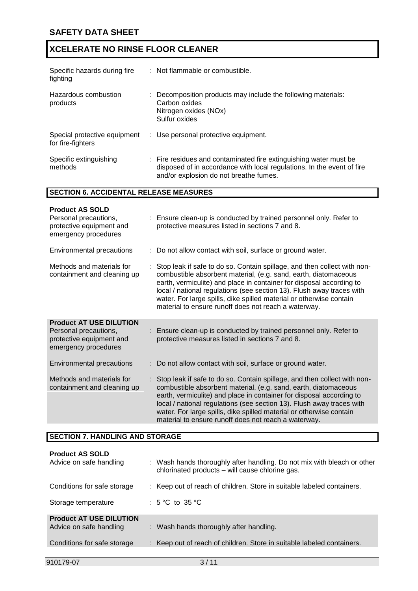| Specific hazards during fire<br>fighting          | : Not flammable or combustible.                                                                                                                                                       |
|---------------------------------------------------|---------------------------------------------------------------------------------------------------------------------------------------------------------------------------------------|
| Hazardous combustion<br>products                  | Decomposition products may include the following materials:<br>Carbon oxides<br>Nitrogen oxides (NOx)<br>Sulfur oxides                                                                |
| Special protective equipment<br>for fire-fighters | : Use personal protective equipment.                                                                                                                                                  |
| Specific extinguishing<br>methods                 | : Fire residues and contaminated fire extinguishing water must be<br>disposed of in accordance with local regulations. In the event of fire<br>and/or explosion do not breathe fumes. |

### **SECTION 6. ACCIDENTAL RELEASE MEASURES**

| <b>Product AS SOLD</b><br>Personal precautions,<br>protective equipment and<br>emergency procedures         | : Ensure clean-up is conducted by trained personnel only. Refer to<br>protective measures listed in sections 7 and 8.                                                                                                                                                                                                                                                                                                       |
|-------------------------------------------------------------------------------------------------------------|-----------------------------------------------------------------------------------------------------------------------------------------------------------------------------------------------------------------------------------------------------------------------------------------------------------------------------------------------------------------------------------------------------------------------------|
| Environmental precautions                                                                                   | : Do not allow contact with soil, surface or ground water.                                                                                                                                                                                                                                                                                                                                                                  |
| Methods and materials for<br>containment and cleaning up                                                    | Stop leak if safe to do so. Contain spillage, and then collect with non-<br>combustible absorbent material, (e.g. sand, earth, diatomaceous<br>earth, vermiculite) and place in container for disposal according to<br>local / national regulations (see section 13). Flush away traces with<br>water. For large spills, dike spilled material or otherwise contain<br>material to ensure runoff does not reach a waterway. |
| <b>Product AT USE DILUTION</b><br>Personal precautions,<br>protective equipment and<br>emergency procedures | : Ensure clean-up is conducted by trained personnel only. Refer to<br>protective measures listed in sections 7 and 8.                                                                                                                                                                                                                                                                                                       |
| <b>Environmental precautions</b>                                                                            | : Do not allow contact with soil, surface or ground water.                                                                                                                                                                                                                                                                                                                                                                  |
| Methods and materials for<br>containment and cleaning up                                                    | Stop leak if safe to do so. Contain spillage, and then collect with non-<br>combustible absorbent material, (e.g. sand, earth, diatomaceous<br>earth, vermiculite) and place in container for disposal according to<br>local / national regulations (see section 13). Flush away traces with<br>water. For large spills, dike spilled material or otherwise contain<br>material to ensure runoff does not reach a waterway. |

## **SECTION 7. HANDLING AND STORAGE**

| <b>Product AS SOLD</b><br>Advice on safe handling         | : Wash hands thoroughly after handling. Do not mix with bleach or other<br>chlorinated products - will cause chlorine gas. |
|-----------------------------------------------------------|----------------------------------------------------------------------------------------------------------------------------|
| Conditions for safe storage                               | : Keep out of reach of children. Store in suitable labeled containers.                                                     |
| Storage temperature                                       | : $5^{\circ}$ C to $35^{\circ}$ C                                                                                          |
| <b>Product AT USE DILUTION</b><br>Advice on safe handling | : Wash hands thoroughly after handling.                                                                                    |
| Conditions for safe storage                               | : Keep out of reach of children. Store in suitable labeled containers.                                                     |
|                                                           |                                                                                                                            |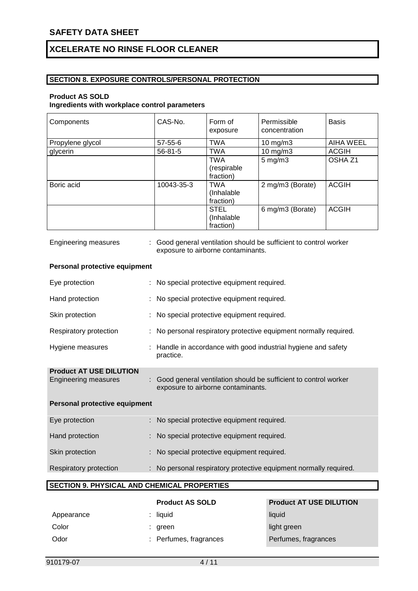### **SECTION 8. EXPOSURE CONTROLS/PERSONAL PROTECTION**

### **Product AS SOLD**

**Ingredients with workplace control parameters**

| Components       | CAS-No.       | Form of<br>exposure                     | Permissible<br>concentration | <b>Basis</b>       |
|------------------|---------------|-----------------------------------------|------------------------------|--------------------|
| Propylene glycol | $57 - 55 - 6$ | <b>TWA</b>                              | 10 $mg/m3$                   | <b>AIHA WEEL</b>   |
| glycerin         | $56 - 81 - 5$ | TWA                                     | $10$ mg/m $3$                | <b>ACGIH</b>       |
|                  |               | <b>TWA</b><br>(respirable)<br>fraction) | $5 \text{ mg/m}$ 3           | OSHA <sub>Z1</sub> |
| Boric acid       | 10043-35-3    | <b>TWA</b><br>(Inhalable)<br>fraction)  | 2 mg/m3 (Borate)             | <b>ACGIH</b>       |
|                  |               | <b>STEL</b><br>(Inhalable)<br>fraction) | 6 mg/m3 (Borate)             | <b>ACGIH</b>       |

| <b>Engineering measures</b>                            | Good general ventilation should be sufficient to control worker<br>exposure to airborne contaminants. |  |  |
|--------------------------------------------------------|-------------------------------------------------------------------------------------------------------|--|--|
| Personal protective equipment                          |                                                                                                       |  |  |
| Eye protection                                         | No special protective equipment required.                                                             |  |  |
| Hand protection                                        | No special protective equipment required.                                                             |  |  |
| Skin protection                                        | No special protective equipment required.                                                             |  |  |
| Respiratory protection                                 | No personal respiratory protective equipment normally required.                                       |  |  |
| Hygiene measures                                       | Handle in accordance with good industrial hygiene and safety<br>practice.                             |  |  |
| <b>Product AT USE DILUTION</b><br>Engineering measures | Good general ventilation should be sufficient to control worker<br>exposure to airborne contaminants. |  |  |
| Personal protective equipment                          |                                                                                                       |  |  |
| Eye protection                                         | No special protective equipment required.                                                             |  |  |
| Hand protection                                        | No special protective equipment required.                                                             |  |  |
| Skin protection                                        | No special protective equipment required.                                                             |  |  |
| Respiratory protection<br>÷                            | No personal respiratory protective equipment normally required.                                       |  |  |
| <b>SECTION 9. PHYSICAL AND CHEMICAL PROPERTIES</b>     |                                                                                                       |  |  |

|            | <b>Product AS SOLD</b> | <b>Product AT USE DILUTION</b> |
|------------|------------------------|--------------------------------|
| Appearance | $:$ liquid             | liquid                         |
| Color      | : green                | light green                    |
| Odor       | : Perfumes, fragrances | Perfumes, fragrances           |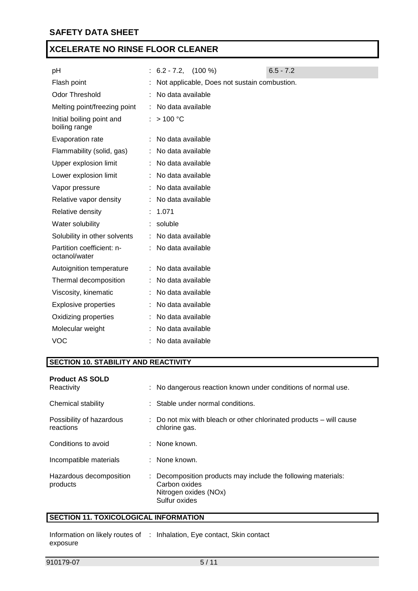| рH                                         | $\therefore$ 6.2 - 7.2, (100 %)              | $6.5 - 7.2$ |
|--------------------------------------------|----------------------------------------------|-------------|
| Flash point                                | Not applicable, Does not sustain combustion. |             |
| <b>Odor Threshold</b>                      | No data available                            |             |
| Melting point/freezing point               | : No data available                          |             |
| Initial boiling point and<br>boiling range | : $> 100 °C$                                 |             |
| Evaporation rate                           | : No data available                          |             |
| Flammability (solid, gas)                  | : No data available                          |             |
| Upper explosion limit                      | : No data available                          |             |
| Lower explosion limit                      | : No data available                          |             |
| Vapor pressure                             | No data available                            |             |
| Relative vapor density                     | No data available                            |             |
| Relative density                           | 1.071                                        |             |
| Water solubility                           | : soluble                                    |             |
| Solubility in other solvents               | : No data available                          |             |
| Partition coefficient: n-<br>octanol/water | No data available                            |             |
| Autoignition temperature                   | : No data available                          |             |
| Thermal decomposition                      | No data available                            |             |
| Viscosity, kinematic                       | No data available                            |             |
| <b>Explosive properties</b>                | No data available                            |             |
| Oxidizing properties                       | No data available                            |             |
| Molecular weight                           | No data available                            |             |
| <b>VOC</b>                                 | No data available                            |             |
|                                            |                                              |             |

## **SECTION 10. STABILITY AND REACTIVITY**

| <b>Product AS SOLD</b><br>Reactivity  | : No dangerous reaction known under conditions of normal use.                                                            |
|---------------------------------------|--------------------------------------------------------------------------------------------------------------------------|
| Chemical stability                    | : Stable under normal conditions.                                                                                        |
| Possibility of hazardous<br>reactions | $\therefore$ Do not mix with bleach or other chlorinated products $-$ will cause<br>chlorine gas.                        |
| Conditions to avoid                   | $\therefore$ None known.                                                                                                 |
| Incompatible materials                | : None known.                                                                                                            |
| Hazardous decomposition<br>products   | : Decomposition products may include the following materials:<br>Carbon oxides<br>Nitrogen oxides (NOx)<br>Sulfur oxides |

## **SECTION 11. TOXICOLOGICAL INFORMATION**

Information on likely routes of : Inhalation, Eye contact, Skin contactexposure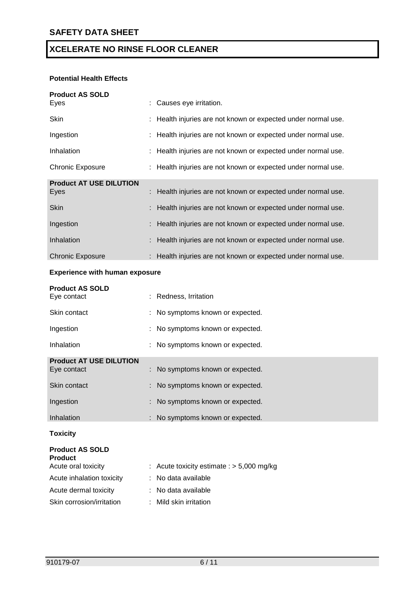### **Potential Health Effects**

| <b>Product AS SOLD</b>         |                                                               |
|--------------------------------|---------------------------------------------------------------|
| Eyes                           | : Causes eye irritation.                                      |
| Skin                           | : Health injuries are not known or expected under normal use. |
| Ingestion                      | : Health injuries are not known or expected under normal use. |
| Inhalation                     | : Health injuries are not known or expected under normal use. |
| <b>Chronic Exposure</b>        | : Health injuries are not known or expected under normal use. |
| <b>Product AT USE DILUTION</b> |                                                               |
| Eyes                           | : Health injuries are not known or expected under normal use. |
| <b>Skin</b>                    | : Health injuries are not known or expected under normal use. |
| Ingestion                      | : Health injuries are not known or expected under normal use. |
| Inhalation                     | : Health injuries are not known or expected under normal use. |
| <b>Chronic Exposure</b>        | : Health injuries are not known or expected under normal use. |

#### **Experience with human exposure**

| <b>Product AS SOLD</b><br>Eye contact | : Redness, Irritation            |
|---------------------------------------|----------------------------------|
| Skin contact                          | : No symptoms known or expected. |
| Ingestion                             | : No symptoms known or expected. |
| Inhalation                            | : No symptoms known or expected. |
| <b>Product AT USE DILUTION</b>        |                                  |
| Eye contact                           | : No symptoms known or expected. |
| Skin contact                          | : No symptoms known or expected. |
| Ingestion                             | : No symptoms known or expected. |
| Inhalation                            | : No symptoms known or expected. |
|                                       |                                  |

### **Toxicity**

| <b>Product AS SOLD</b>    |                                             |
|---------------------------|---------------------------------------------|
| <b>Product</b>            |                                             |
| Acute oral toxicity       | : Acute toxicity estimate : $> 5,000$ mg/kg |
| Acute inhalation toxicity | : No data available                         |
| Acute dermal toxicity     | : No data available                         |
| Skin corrosion/irritation | : Mild skin irritation                      |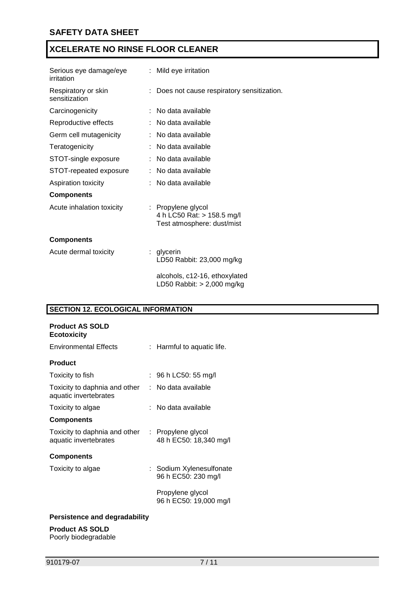| Serious eye damage/eye<br>irritation | : Mild eye irritation                                                          |
|--------------------------------------|--------------------------------------------------------------------------------|
| Respiratory or skin<br>sensitization | Does not cause respiratory sensitization.                                      |
| Carcinogenicity                      | No data available                                                              |
| Reproductive effects                 | No data available                                                              |
| Germ cell mutagenicity               | No data available                                                              |
| Teratogenicity                       | No data available                                                              |
| STOT-single exposure                 | No data available                                                              |
| STOT-repeated exposure               | No data available                                                              |
| Aspiration toxicity                  | No data available                                                              |
| <b>Components</b>                    |                                                                                |
| Acute inhalation toxicity            | : Propylene glycol<br>4 h LC50 Rat: > 158.5 mg/l<br>Test atmosphere: dust/mist |
| <b>Components</b>                    |                                                                                |
| Acute dermal toxicity                | glycerin<br>t.<br>LD50 Rabbit: 23,000 mg/kg                                    |
|                                      | alcohols, c12-16, ethoxylated<br>LD50 Rabbit: $> 2,000$ mg/kg                  |

## **SECTION 12. ECOLOGICAL INFORMATION**

| <b>Product AS SOLD</b><br><b>Ecotoxicity</b>           |    |                                                 |
|--------------------------------------------------------|----|-------------------------------------------------|
| <b>Environmental Effects</b>                           |    | : Harmful to aquatic life.                      |
| <b>Product</b>                                         |    |                                                 |
| Toxicity to fish                                       |    | : 96 h LC50: 55 mg/l                            |
| Toxicity to daphnia and other<br>aquatic invertebrates | t. | No data available                               |
| Toxicity to algae                                      |    | ∶   No data available                           |
| <b>Components</b>                                      |    |                                                 |
| Toxicity to daphnia and other<br>aquatic invertebrates |    | : Propylene glycol<br>48 h EC50: 18,340 mg/l    |
| <b>Components</b>                                      |    |                                                 |
| Toxicity to algae                                      |    | : Sodium Xylenesulfonate<br>96 h EC50: 230 mg/l |
|                                                        |    | Propylene glycol<br>96 h EC50: 19,000 mg/l      |
|                                                        |    |                                                 |

### **Persistence and degradability**

### **Product AS SOLD**

Poorly biodegradable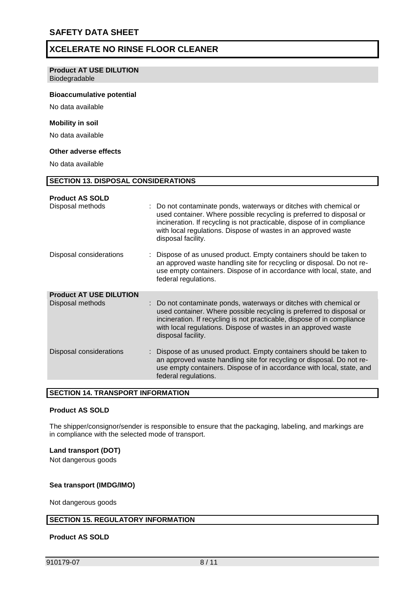#### **Product AT USE DILUTION**

Biodegradable

#### **Bioaccumulative potential**

No data available

#### **Mobility in soil**

No data available

#### **Other adverse effects**

No data available

| <b>SECTION 13. DISPOSAL CONSIDERATIONS</b> |                                                                                                                                                                                                                                                                                                              |  |  |
|--------------------------------------------|--------------------------------------------------------------------------------------------------------------------------------------------------------------------------------------------------------------------------------------------------------------------------------------------------------------|--|--|
|                                            |                                                                                                                                                                                                                                                                                                              |  |  |
| <b>Product AS SOLD</b>                     |                                                                                                                                                                                                                                                                                                              |  |  |
| Disposal methods                           | : Do not contaminate ponds, waterways or ditches with chemical or<br>used container. Where possible recycling is preferred to disposal or<br>incineration. If recycling is not practicable, dispose of in compliance<br>with local regulations. Dispose of wastes in an approved waste<br>disposal facility. |  |  |
| Disposal considerations                    | Dispose of as unused product. Empty containers should be taken to<br>an approved waste handling site for recycling or disposal. Do not re-<br>use empty containers. Dispose of in accordance with local, state, and<br>federal regulations.                                                                  |  |  |
| <b>Product AT USE DILUTION</b>             |                                                                                                                                                                                                                                                                                                              |  |  |
| Disposal methods                           | Do not contaminate ponds, waterways or ditches with chemical or<br>used container. Where possible recycling is preferred to disposal or<br>incineration. If recycling is not practicable, dispose of in compliance<br>with local regulations. Dispose of wastes in an approved waste<br>disposal facility.   |  |  |
| Disposal considerations                    | Dispose of as unused product. Empty containers should be taken to<br>an approved waste handling site for recycling or disposal. Do not re-<br>use empty containers. Dispose of in accordance with local, state, and<br>federal regulations.                                                                  |  |  |

#### **SECTION 14. TRANSPORT INFORMATION**

#### **Product AS SOLD**

The shipper/consignor/sender is responsible to ensure that the packaging, labeling, and markings are in compliance with the selected mode of transport.

#### **Land transport (DOT)**

Not dangerous goods

#### **Sea transport (IMDG/IMO)**

Not dangerous goods

#### **SECTION 15. REGULATORY INFORMATION**

#### **Product AS SOLD**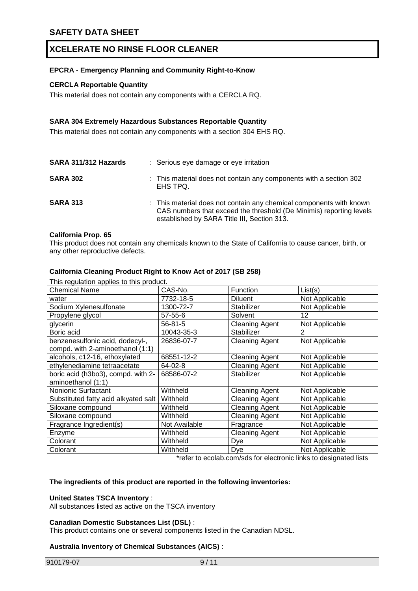#### **EPCRA - Emergency Planning and Community Right-to-Know**

#### **CERCLA Reportable Quantity**

This material does not contain any components with a CERCLA RQ.

#### **SARA 304 Extremely Hazardous Substances Reportable Quantity**

This material does not contain any components with a section 304 EHS RQ.

| SARA 311/312 Hazards | : Serious eye damage or eye irritation                                                                                                                                                    |
|----------------------|-------------------------------------------------------------------------------------------------------------------------------------------------------------------------------------------|
| <b>SARA 302</b>      | : This material does not contain any components with a section 302<br>EHS TPQ.                                                                                                            |
| <b>SARA 313</b>      | : This material does not contain any chemical components with known<br>CAS numbers that exceed the threshold (De Minimis) reporting levels<br>established by SARA Title III, Section 313. |

#### **California Prop. 65**

This product does not contain any chemicals known to the State of California to cause cancer, birth, or any other reproductive defects.

#### **California Cleaning Product Right to Know Act of 2017 (SB 258)**

| This regulation applies to this product. |               |                       |                |  |
|------------------------------------------|---------------|-----------------------|----------------|--|
| <b>Chemical Name</b>                     | CAS-No.       | Function              | List(s)        |  |
| water                                    | 7732-18-5     | <b>Diluent</b>        | Not Applicable |  |
| Sodium Xylenesulfonate                   | 1300-72-7     | Stabilizer            | Not Applicable |  |
| Propylene glycol                         | $57 - 55 - 6$ | Solvent               | 12             |  |
| glycerin                                 | $56 - 81 - 5$ | <b>Cleaning Agent</b> | Not Applicable |  |
| Boric acid                               | 10043-35-3    | Stabilizer            | $\overline{2}$ |  |
| benzenesulfonic acid, dodecyl-,          | 26836-07-7    | <b>Cleaning Agent</b> | Not Applicable |  |
| compd. with 2-aminoethanol (1:1)         |               |                       |                |  |
| alcohols, c12-16, ethoxylated            | 68551-12-2    | <b>Cleaning Agent</b> | Not Applicable |  |
| ethylenediamine tetraacetate             | 64-02-8       | <b>Cleaning Agent</b> | Not Applicable |  |
| boric acid (h3bo3), compd. with 2-       | 68586-07-2    | Stabilizer            | Not Applicable |  |
| aminoethanol (1:1)                       |               |                       |                |  |
| <b>Nonionic Surfactant</b>               | Withheld      | <b>Cleaning Agent</b> | Not Applicable |  |
| Substituted fatty acid alkyated salt     | Withheld      | <b>Cleaning Agent</b> | Not Applicable |  |
| Siloxane compound                        | Withheld      | <b>Cleaning Agent</b> | Not Applicable |  |
| Siloxane compound                        | Withheld      | <b>Cleaning Agent</b> | Not Applicable |  |
| Fragrance Ingredient(s)                  | Not Available | Fragrance             | Not Applicable |  |
| Enzyme                                   | Withheld      | <b>Cleaning Agent</b> | Not Applicable |  |
| Colorant                                 | Withheld      | Dye                   | Not Applicable |  |
| Colorant                                 | Withheld      | Dye                   | Not Applicable |  |

\*refer to ecolab.com/sds for electronic links to designated lists

#### **The ingredients of this product are reported in the following inventories:**

#### **United States TSCA Inventory** :

All substances listed as active on the TSCA inventory

#### **Canadian Domestic Substances List (DSL)** :

This product contains one or several components listed in the Canadian NDSL.

#### **Australia Inventory of Chemical Substances (AICS)** :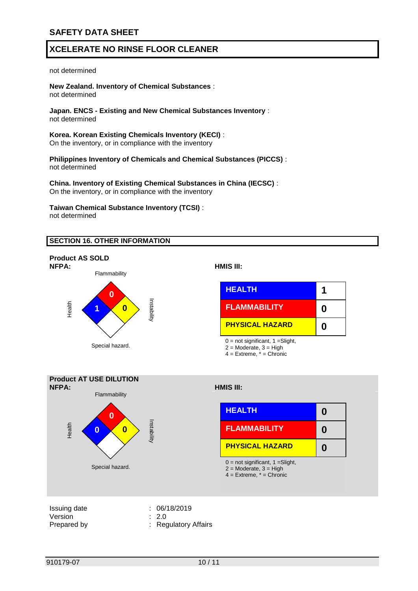#### not determined

**New Zealand. Inventory of Chemical Substances** : not determined

**Japan. ENCS - Existing and New Chemical Substances Inventory** : not determined

**Korea. Korean Existing Chemicals Inventory (KECI)** : On the inventory, or in compliance with the inventory

**Philippines Inventory of Chemicals and Chemical Substances (PICCS)** : not determined

**China. Inventory of Existing Chemical Substances in China (IECSC)** : On the inventory, or in compliance with the inventory

**Taiwan Chemical Substance Inventory (TCSI)** : not determined

#### **SECTION 16. OTHER INFORMATION**



#### **NFPA: HMIS III:**



**0**

**0**

**0**

2 = Moderate, 3 = High

4 = Extreme, \* = Chronic



Prepared by : Regulatory Affairs